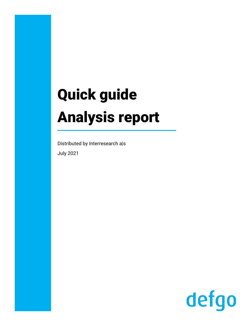# Quick guide Analysis report

Distributed by Interresearch a|s July 2021

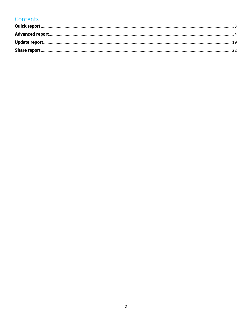## Contents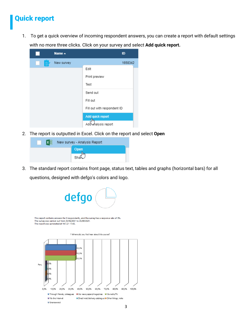## <span id="page-2-0"></span>Quick report

1. To get a quick overview of incoming respondent answers, you can create a report with default settings with no more three clicks. Click on your survey and select **Add quick report.**



2. The report is outputted in Excel. Click on the report and select **Open**



3. The standard report contains front page, status text, tables and graphs (horizontal bars) for all questions, designed with defgo's colors and logo.

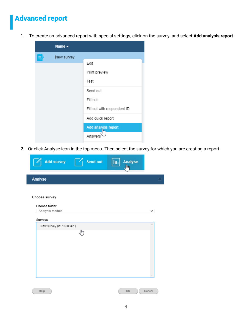## <span id="page-3-0"></span>Advanced report

1. To create an advanced report with special settings, click on the survey and select **Add analysis report.**

|   | Name $\triangle$ |                             |
|---|------------------|-----------------------------|
| ≣ | New survey       |                             |
|   |                  | Edit                        |
|   |                  | Print preview               |
|   |                  | Test                        |
|   |                  | Send out                    |
|   |                  | Fill out                    |
|   |                  | Fill out with respondent ID |
|   |                  | Add quick report            |
|   |                  | Add analysis report         |
|   |                  | Answers                     |

2. Or click Analyse icon in the top menu. Then select the survey for which you are creating a report.

| <b>Add survey</b>        | Send out | <b>Analyse</b><br>Ш<br>յհղ |        |
|--------------------------|----------|----------------------------|--------|
| Analyse                  |          |                            |        |
|                          |          |                            |        |
| Choose survey            |          |                            |        |
| Choose folder            |          |                            |        |
| Analysis module          |          |                            | ◡      |
| Surveys                  |          |                            |        |
| New survey (id: 1658342) |          |                            | A      |
|                          | վայ      |                            |        |
|                          |          |                            |        |
|                          |          |                            |        |
|                          |          |                            |        |
|                          |          |                            |        |
|                          |          |                            |        |
|                          |          |                            |        |
|                          |          |                            |        |
| Help                     |          | OK                         | Cancel |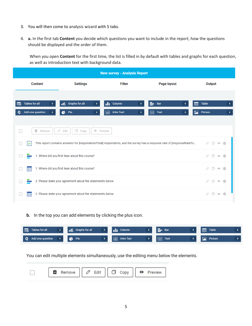- 3. You will then come to analysis wizard with 5 tabs.
- 4. **a.** In the first tab **Content** you decide which questions you want to include in the report, how the questions should be displayed and the order of them.

When you open **Content** for the first time, the list is filled in by default with tables and graphs for each question, as well as introduction text with background data.

| <b>New survey - Analysis Report</b>                 |                                                           |                                             |                                                                                                                        |                                           |  |  |  |
|-----------------------------------------------------|-----------------------------------------------------------|---------------------------------------------|------------------------------------------------------------------------------------------------------------------------|-------------------------------------------|--|--|--|
| <b>Content</b>                                      | <b>Settings</b>                                           | <b>Filter</b>                               | Page layout                                                                                                            | Output                                    |  |  |  |
| <b>Tables for all</b><br>国<br>Add one question<br>+ | Graphs for all<br>иó<br>Pie<br>e<br>+                     | <b>II</b> Column<br><b>Intro Text</b><br>ab | $\equiv$ Bar<br>+<br><b>Text</b><br>目                                                                                  | <b>Table</b><br>⊞<br>Picture<br>⊵<br>$^+$ |  |  |  |
| û<br>$\Box$<br>Remove                               | $\Box$<br>0<br>Edit<br>Copy<br>← Preview                  |                                             |                                                                                                                        |                                           |  |  |  |
| ab                                                  |                                                           |                                             | This report contains answers for [respondentsTotal] respondents, and the survey has a response rate of [responseRateTo | $\Box$ $\odot$                            |  |  |  |
|                                                     | 1. Where did you first hear about this course?            |                                             |                                                                                                                        | $\Box$                                    |  |  |  |
| ⊞                                                   | 1. Where did you first hear about this course?            |                                             |                                                                                                                        | 0<br>$\Box$ $\odot$                       |  |  |  |
|                                                     | 2. Please state your agreement about the statements below |                                             |                                                                                                                        | $\emptyset$ 0 0 0                         |  |  |  |
| 爾                                                   | 2. Please state your agreement about the statements below |                                             |                                                                                                                        | $\Box$ $\odot$                            |  |  |  |

#### **b.** In the top you can add elements by clicking the plus icon.

| EG Tables for all  | dig Graphs for all | <b>Ill</b> Column | <b>Bar</b><br>_  | Table<br>僵 |  |
|--------------------|--------------------|-------------------|------------------|------------|--|
| Q Add one question | <b>C</b> Pie       | ab Intro Text     | 目<br><b>Text</b> | Picture    |  |

You can edit multiple elements simultaneously, use the editing menu below the elements.

|  | Remove $   \oslash$ Edit $   \Box$ Copy $   \odot$ Preview |  |  |  |  |  |
|--|------------------------------------------------------------|--|--|--|--|--|
|  |                                                            |  |  |  |  |  |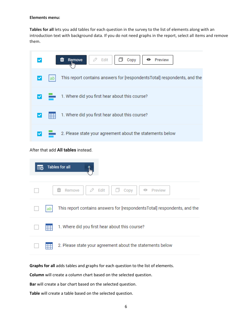#### **Elements menu:**

**Tables for all** lets you add tables for each question in the survey to the list of elements along with an introduction text with background data. If you do not need graphs in the report, select all items and remove them.



### After that add **All tables** instead.

| <b>Tables for all</b><br>眪                                                     |
|--------------------------------------------------------------------------------|
| $\oslash$ Edit<br>茴<br>Remove<br>Copy<br>⊙<br>Preview                          |
| This report contains answers for [respondentsTotal] respondents, and the<br>ab |
| 1. Where did you first hear about this course?                                 |
| 2. Please state your agreement about the statements below                      |

**Graphs for all** adds tables and graphs for each question to the list of elements.

**Column** will create a column chart based on the selected question.

**Bar** will create a bar chart based on the selected question.

**Table** will create a table based on the selected question.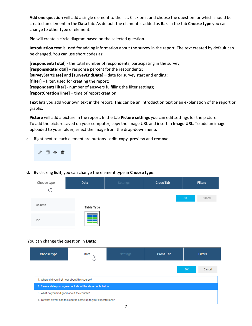**Add one question** will add a single element to the list. Click on it and choose the question for which should be created an element in the **Data** tab. As default the element is added as **Bar**. In the tab **Choose type** you can change to other type of element.

**Pie** will create a circle diagram based on the selected question.

**Introduction text** is used for adding information about the survey in the report. The text created by default can be changed. You can use short codes as:

**[respondentsTotal]** - the total number of respondents, participating in the survey; **[responseRateTotal]** – response percent for the respondents; **[surveyStartDate]** and **[surveyEndDate]** – date for survey start and ending; **[filter]** – filter, used for creating the report; **[respondentsFilter]** - number of answers fulfilling the filter settings; **[reportCreationTime]** – time of report creation.

**Text** lets you add your own text in the report. This can be an introduction text or an explanation of the report or graphs.

**Picture** will add a picture in the report. In the tab **Picture settings** you can edit settings for the picture. To add the picture saved on your computer, copy the Image URL and insert in **Image URL**. To add an image uploaded to your folder, select the image from the drop-down menu.

**c.** Right next to each element are buttons - **edit**, **copy**, **preview** and **remove**.



**d.** By clicking **Edit**, you can change the element type in **Choose type.**

| Choose type<br>հր | Data              | Settings | <b>Cross Tab</b> | <b>Filters</b> |
|-------------------|-------------------|----------|------------------|----------------|
|                   |                   |          |                  | OK<br>Cancel   |
| Column            | <b>Table Type</b> |          |                  |                |
| Pie               |                   |          |                  |                |

#### You can change the question in **Data:**

| Choose type                                                     | Data                                                      | Settings | <b>Cross Tab</b> | <b>Filters</b>      |  |  |  |
|-----------------------------------------------------------------|-----------------------------------------------------------|----------|------------------|---------------------|--|--|--|
|                                                                 |                                                           |          |                  | <b>OK</b><br>Cancel |  |  |  |
| 1. Where did you first hear about this course?                  |                                                           |          |                  |                     |  |  |  |
|                                                                 | 2. Please state your agreement about the statements below |          |                  |                     |  |  |  |
| 3. What do you find good about the course?                      |                                                           |          |                  |                     |  |  |  |
| 4. To what extent has this course come up to your expectations? |                                                           |          |                  |                     |  |  |  |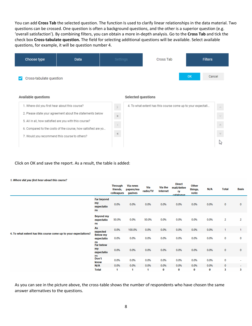You can add **Cross Tab** the selected question. The function Is used to clarify linear relationships in the data material. Two questions can be crossed. One question is often a background questions, and the other is a superior question (e.g. 'overall satisfaction'). By combining filters, you can obtain a more in-depth analysis. Go to the **Cross Tab** and tick the check box **Cross-tabulate question.** The field for selecting additional questions will be available. Select available questions, for example, it will be question number 4.



 $\ll$ 

7. Would you recommend this course to others?

↳

Click on OK and save the report. As a result, the table is added:

#### 1. Where did you first hear about this course?

|                                                                 |                                                    | Through<br>friends,<br>colleagues | Via news<br>papers/ma<br>gazines | Via<br>radio/TV | Via the<br><b>Internet</b> | Direct<br>mail/delive<br>ry<br>catalogue | Other<br>things,<br>note: | N/A  | <b>Total</b> | <b>Basis</b> |
|-----------------------------------------------------------------|----------------------------------------------------|-----------------------------------|----------------------------------|-----------------|----------------------------|------------------------------------------|---------------------------|------|--------------|--------------|
|                                                                 | <b>Far beyond</b><br>my<br>expectatio<br><b>ns</b> | 0.0%                              | 0.0%                             | 0.0%            | 0.0%                       | 0.0%                                     | 0.0%                      | 0.0% | $\bf{0}$     | 0            |
|                                                                 | <b>Beyond my</b><br>expectatio<br><b>ns</b>        | 50.0%                             | 0.0%                             | 50.0%           | 0.0%                       | 0.0%                                     | 0.0%                      | 0.0% | 2            | 2            |
|                                                                 | As<br>expected                                     | 0.0%                              | 100.0%                           | 0.0%            | 0.0%                       | 0.0%                                     | 0.0%                      | 0.0% | 1            | 1            |
| 4. To what extent has this course come up to your expectations? | <b>Below my</b><br>expectatio<br><b>ns</b>         | 0.0%                              | 0.0%                             | 0.0%            | 0.0%                       | 0.0%                                     | 0.0%                      | 0.0% | 0            | 0            |
|                                                                 | <b>Far below</b><br>my<br>expectatio<br>ns.        | 0.0%                              | 0.0%                             | 0.0%            | 0.0%                       | 0.0%                                     | 0.0%                      | 0.0% | $\bf{0}$     | $\bf{0}$     |
|                                                                 | Don't<br>know                                      | 0.0%                              | 0.0%                             | 0.0%            | 0.0%                       | 0.0%                                     | 0.0%                      | 0.0% | $\bf{0}$     | ۰            |
|                                                                 | N/A                                                | 0.0%                              | 0.0%                             | 0.0%            | 0.0%                       | 0.0%                                     | 0.0%                      | 0.0% | $\bf{0}$     | ٠            |
|                                                                 | <b>Total</b>                                       | 1                                 | 1                                | 1               | 0                          | 0                                        | 0                         | 0    | 3            | з            |

As you can see in the picture above, the cross-table shows the number of respondents who have chosen the same answer alternatives to the questions.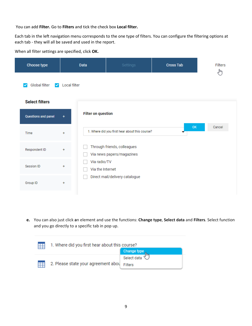You can add **Filter.** Go to **Filters** and tick the check box **Local filter.**

Each tab in the left navigation menu corresponds to the one type of filters. You can configure the filtering options at each tab - they will all be saved and used in the report.

**Cross Tab** Filters Choose type **Data** لسهام  $\triangleright$  Global filter  $\triangleright$  Local filter **Select filters Filter on question** Questions and panel  $\ddot{}$ **OK** Cancel 1. Where did you first hear about this course? Time  $\ddotmark$ Through friends, colleagues П Respondent ID Via news papers/magazines  $\Box$ Via radio/TV H Session ID ł  $\Box$ Via the Internet Direct mail/delivery catalogue  $\Box$ Group ID  $\ddot{}$ 

When all filter settings are specified, click **OK.**

**e.** You can also just click **a**n element and use the functions: **Change type**, **Select data** and **Filters**. Select function and you go directly to a specific tab in pop up.

| 1. Where did you first hear about this course? |             |  |  |  |  |
|------------------------------------------------|-------------|--|--|--|--|
|                                                | Change type |  |  |  |  |
|                                                | Select data |  |  |  |  |
| 2. Please state your agreement aboughters      |             |  |  |  |  |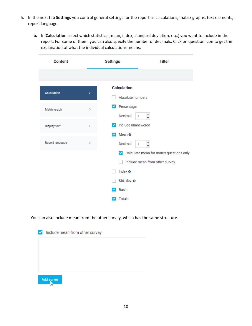- 5. In the next tab **Settings** you control general settings for the report as calculations, matrix graphs, text elements, report language.
	- **a.** In **Calculation** select which statistics (mean, index, standard deviation, etc.) you want to include in the report. For some of them, you can also specify the number of decimals. Click on question icon to get the explanation of what the individual calculations means.

| <b>Content</b>     |                   | <b>Settings</b>                         | <b>Filter</b>                                                              |
|--------------------|-------------------|-----------------------------------------|----------------------------------------------------------------------------|
|                    |                   |                                         |                                                                            |
| <b>Calculation</b> | ≸                 | <b>Calculation</b><br>Absolute numbers  |                                                                            |
| Matrix graph       | Ŷ.                | Percentage<br>$\checkmark$<br>Decimal   | 1                                                                          |
| Display text       | $\mathbf{\hat{}}$ | Include unanswered<br>$\checkmark$      |                                                                            |
| Report language    | X                 | Mean $\odot$<br>$\checkmark$<br>Decimal | 1                                                                          |
|                    |                   |                                         | Calculate mean for matrix questions only<br>Include mean from other survey |
|                    |                   | Index $\odot$                           |                                                                            |
|                    |                   | Std. dev. @<br><b>Basis</b>             |                                                                            |
|                    |                   | <b>Totals</b>                           |                                                                            |

You can also include mean from the other survey, which has the same structure.

| Include mean from other survey<br>$\checkmark$ |  |
|------------------------------------------------|--|
|                                                |  |
|                                                |  |
|                                                |  |
| Add survey                                     |  |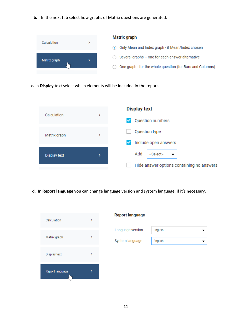**b.** In the next tab select how graphs of Matrix questions are generated.



**с.** In **Display text** select which elements will be included in the report.



**d**. In **Report language** you can change language version and system language, if it's necessary.



#### **Report language**

| English |
|---------|
| English |
|         |
|         |
|         |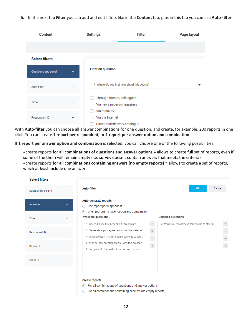6. In the next tab **Filter** you can add and edit filters like in the **Content** tab, plus in this tab you can use **Auto-filter.**

| Content                    |           | <b>Settings</b>                                          | Filter                                         | Page layout |
|----------------------------|-----------|----------------------------------------------------------|------------------------------------------------|-------------|
|                            |           |                                                          |                                                |             |
| <b>Select filters</b>      |           |                                                          |                                                |             |
| <b>Questions and panel</b> | +         | <b>Filter on question</b>                                |                                                |             |
| Auto-filter                | $\ddot{}$ |                                                          | 1. Where did you first hear about this course? | ▽           |
| Time                       | $\ddot{}$ | Through friends, colleagues<br>Via news papers/magazines |                                                |             |
| Respondent ID              | $\ddot{}$ | Via radio/TV<br>Via the Internet                         | Direct mail/delivery catalogue                 |             |

With **Auto-filter** you can choose all answer combinations for one question, and create, for example, 200 reports in one click. You can create **1 report per respondent**, or **1 report per answer option and combination**.

If **1 report per answer option and combination** is selected, you can choose one of the following possibilities:

- «create reports **for all combinations of questions and answer options »** allows to create full set of reports, even if some of the them will remain empty (i.e. survey doesn't contain answers that meets the criteria)
- «create reports **for all combinations containing answers (no empty reports) »** allows to create a set of reports, which at least include one answer

| <b>Select filters</b> |                                                                                                                                                         |                                                                        |
|-----------------------|---------------------------------------------------------------------------------------------------------------------------------------------------------|------------------------------------------------------------------------|
| Questions and panel   | <b>Auto-filter</b>                                                                                                                                      | <b>OK</b>                                                              |
| <b>Auto-filter</b>    | Auto-generate reports<br>One report per respondent                                                                                                      |                                                                        |
|                       | One report per answer option and combination<br>$\odot$<br>Available questions                                                                          | Selected questions                                                     |
| Respondent ID         | 1. Where did you first hear about this course?<br>2. Please state your agreement about the stateme<br>4. To what extent has this course come up to your | 7. Would you recommend this course to others?<br>$\rightarrow$<br>$\,$ |
| Session ID            | 5. All in all, how satisfied are you with this course?<br>6. Compared to the costs of the course, how satis                                             | $\langle$<br>$\ll$                                                     |
|                       |                                                                                                                                                         |                                                                        |

#### **Create reports**

◉ For all combinations of questions and answer options

◯ For all combinations containing answers (no empty reports)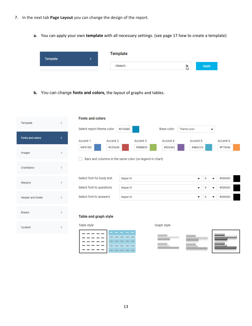- 7. In the next tab **Page Layout** you can change the design of the report.
	- **a.** You can apply your own **template** with all necessary settings. (see page 17 how to create a template)

| Template | <b>Template</b> |   |              |
|----------|-----------------|---|--------------|
|          | --Select--      | M | <b>Apply</b> |

**b.** You can change **fonts and colors,** the layout of graphs and tables.

| Template                | ⋗             | <b>Fonts and colors</b>                                                       |          |          |                   |             |                               |          |
|-------------------------|---------------|-------------------------------------------------------------------------------|----------|----------|-------------------|-------------|-------------------------------|----------|
|                         |               | Select report theme color                                                     | #018AB8  |          | <b>Base color</b> | Theme color | $\overline{\phantom{a}}$      |          |
| <b>Fonts and colors</b> | ٧             | Accent 1<br>Accent 2                                                          |          | Accent 3 | Accent 4          | Accent 5    |                               | Accent 6 |
| Images                  | >             | #4F81BD<br>#C0504D<br>Bars and columns in the same color (no legend in chart) |          | #9BBB59  | #8064A2           | #4BACC6     |                               | #F79646  |
| Orientation             | $\rightarrow$ |                                                                               |          |          |                   |             |                               |          |
| Margins                 | $\rightarrow$ | Select font for body text                                                     | Segoe UI |          |                   | ▼           | 8<br>$\overline{\phantom{a}}$ | #000000  |
|                         |               | Select font to questions                                                      | Segoe UI |          |                   | ▼           | 8<br>$\overline{\phantom{a}}$ | #000000  |
| Header and footer       | $\rightarrow$ | Select font to answers                                                        | Segoe UI |          |                   | ▼           | 8<br>▼                        | #000000  |
| <b>Breaks</b>           | $\rightarrow$ | Table and graph style                                                         |          |          |                   |             |                               |          |
| Content                 | $\mathcal{P}$ | Table style                                                                   |          |          | Graph style       |             |                               |          |
|                         |               |                                                                               |          |          |                   |             |                               |          |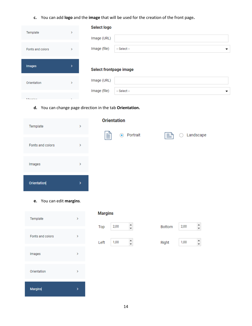**c.** You can add **logo** and the **image** that will be used for the creation of the front page**.**

| Template         | >      |
|------------------|--------|
| Fonts and colors |        |
| Images           | >      |
| Orientation      |        |
|                  |        |
| Address to a     | $\sim$ |

**d.** You can change page direction in the tab **Orientation.**

| Template         | ⋗ | <b>Orientation</b> |                      |
|------------------|---|--------------------|----------------------|
| Fonts and colors | ⋗ | ≣<br>⊙ Portrait    | Landscape<br>I≣<br>C |
| Images           | ⋋ |                    |                      |
| Orientation      | > |                    |                      |

**e.** You can edit **margins**.

| Template         |  |
|------------------|--|
| Fonts and colors |  |
| Images           |  |
| Orientation      |  |
| <b>Margins</b>   |  |

#### **Margins**



| <b>Bottom</b> | 2,00 |  |
|---------------|------|--|
| Right         | 1,00 |  |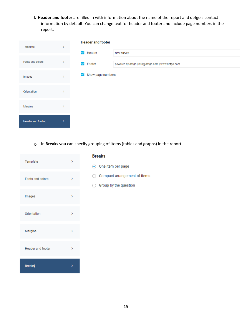**f. Header and footer** are filled in with information about the name of the report and defgo's contact information by default. You can change text for header and footer and include page numbers in the report.

| Template                 | ×.            | <b>Header and footer</b>          |  |
|--------------------------|---------------|-----------------------------------|--|
|                          |               | $\checkmark$<br>Header            |  |
| Fonts and colors         | >             | <b>V</b> Footer                   |  |
| Images                   | У             | Show page numbers<br>$\checkmark$ |  |
| Orientation              | >             |                                   |  |
|                          |               |                                   |  |
| Margins                  | $\rightarrow$ |                                   |  |
| <b>Header and footer</b> | >             |                                   |  |

**g.** In **Breaks** you can specify grouping of items (tables and graphs) in the report**.**

| Template          |   |
|-------------------|---|
| Fonts and colors  | э |
| Images            |   |
| Orientation       |   |
| Margins           |   |
| Header and footer |   |
| <b>Breaks</b>     |   |

#### **Breaks**

- ◉ One item per page
- $\bigcirc$  Compact arrangement of items
- $\bigcirc$  Group by the question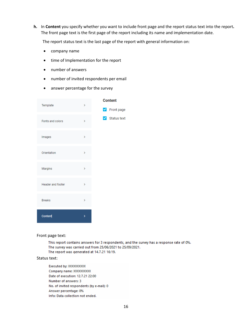**h.** In **Content** you specify whether you want to include front page and the report status text into the report**.** The front page text is the first page of the report including its name and implementation date.

The report status text is the last page of the report with general information on:

- company name
- time of Implementation for the report
- number of answers
- number of invited respondents per email
- answer percentage for the survey

| Template          | > | <b>Content</b>                    |
|-------------------|---|-----------------------------------|
|                   |   | Pront page                        |
| Fonts and colors  | X | $\blacktriangleright$ Status text |
| Images            | > |                                   |
| Orientation       | × |                                   |
| Margins           | X |                                   |
| Header and footer | X |                                   |
| <b>Breaks</b>     | > |                                   |
| Content           | > |                                   |

Front page text:

This report contains answers for 3 respondents, and the survey has a response rate of 0%. The survey was carried out from 25/06/2021 to 25/09/2021. The report was generated at 14.7.21 16:19.

#### Status text:

Executed by: XXXXXXXXXX Company name: XXXXXXXXXX Date of execution: 12.7.21 22:00 Number of answers: 3 No. of invited respondents (by e-mail): 0 Answer percentage: 0% Info: Data collection not ended.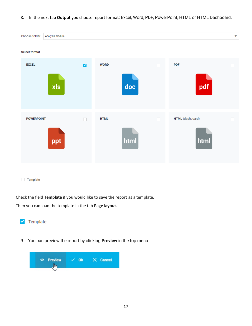8. In the next tab **Output** you choose report format: Excel, Word, PDF, PowerPoint, HTML or HTML Dashboard.

| Choose folder        | Analysis module |              |             |      |   |                          | ÷  |
|----------------------|-----------------|--------------|-------------|------|---|--------------------------|----|
| <b>Select format</b> |                 |              |             |      |   |                          |    |
| <b>EXCEL</b>         | xls             | $\checkmark$ | <b>WORD</b> | doc  | П | <b>PDF</b><br>pdf        | ×. |
| <b>POWERPOINT</b>    | ppt             | П            | <b>HTML</b> | html |   | HTML (dashboard)<br>html | Τ  |
| Template             |                 |              |             |      |   |                          |    |

Check the field **Template** if you would like to save the report as a template.

Then you can load the template in the tab **Page layout**.



9. You can preview the report by clicking **Preview** in the top menu.

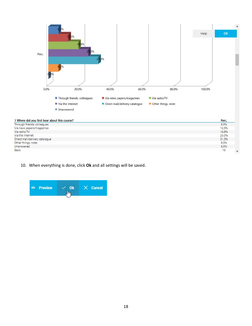

10. When everything is done, click **Ok** and all settings will be saved.

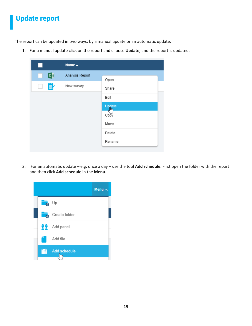## <span id="page-18-0"></span>Update report

The report can be updated in two ways: by a manual update or an automatic update.

1. For a manual update click on the report and choose **Update**, and the report is updated.

| $\mathcal{C}$ | Name $\triangle$ |                     |
|---------------|------------------|---------------------|
| 区目            | Analysis Report  | Open                |
| 皀             | New survey       | Share               |
|               |                  | Edit                |
|               |                  | Update<br><u>Im</u> |
|               |                  | Copy                |
|               |                  | Move                |
|               |                  | Delete              |
|               |                  | Rename              |

2. For an automatic update – e.g. once a day – use the tool **Add schedule**. First open the folder with the report and then click **Add schedule** in the **Menu**.

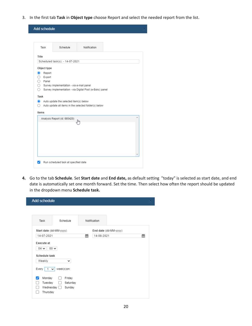3. In the first tab **Task** in **Object type** choose Report and select the needed report from the list.

| <b>Add schedule</b> |                                            |                                                         |   |
|---------------------|--------------------------------------------|---------------------------------------------------------|---|
|                     |                                            |                                                         |   |
| Task                | Schedule                                   | Notification                                            |   |
| Title               |                                            |                                                         |   |
|                     | Scheduled task(s): - 14-07-2021            |                                                         |   |
| Object type         |                                            |                                                         |   |
| $\bullet$<br>Report |                                            |                                                         |   |
| $\bigcirc$ Export   |                                            |                                                         |   |
| $\bigcirc$ Panel    |                                            |                                                         |   |
|                     | ◯ Survey implementation - via e-mail panel |                                                         |   |
| 0.                  |                                            | Survey implementation - via Digital Post (e-Boks) panel |   |
| Task                |                                            |                                                         |   |
| $\bullet$           | Auto update the selected item(s) below     |                                                         |   |
| ∩.                  |                                            | Auto update all items in the selected folder(s) below   |   |
| Items               |                                            |                                                         |   |
|                     | Analysis Report (id: 665420)               |                                                         | A |
|                     |                                            | յհո                                                     |   |
|                     |                                            |                                                         |   |
|                     |                                            |                                                         |   |
|                     |                                            |                                                         |   |
|                     |                                            |                                                         |   |
|                     |                                            |                                                         |   |
|                     |                                            |                                                         |   |
|                     |                                            |                                                         |   |
|                     |                                            |                                                         |   |

**4.** Go to the tab **Schedule**. Set **Start date** and **End date,** as default setting "today" is selected as start date, and end date is automatically set one month forward. Set the time. Then select how often the report should be updated in the dropdown menu **Schedule task.**

| Add schedule                                           |                              |   |                       |   |
|--------------------------------------------------------|------------------------------|---|-----------------------|---|
| Task                                                   | Schedule                     |   | Notification          |   |
| Start date (dd-MM-yyyy)                                |                              |   | End date (dd-MM-yyyy) |   |
| 14-07-2021                                             |                              | 雦 | 14-08-2021            | 雦 |
| Execute at<br>$04 \vee$<br>Schedule task               | $00 \vee$                    |   |                       |   |
| Weekly<br>Every  <br>$\overline{1}$<br>$\checkmark$    | ∨<br>week(s)on:              |   |                       |   |
| Monday<br>✓<br>Tuesday<br>Wednesday $\Box$<br>Thursday | Friday<br>Saturday<br>Sunday |   |                       |   |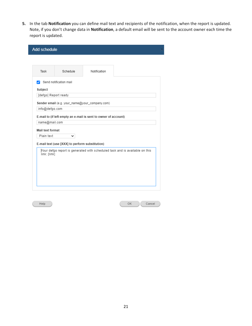**5.** In the tab **Notification** you can define mail text and recipients of the notification, when the report is updated. Note, if you don't change data in **Notification**, a default email will be sent to the account owner each time the report is updated.

| <b>Add schedule</b>  |                                                 |                                                                 |                                                                             |
|----------------------|-------------------------------------------------|-----------------------------------------------------------------|-----------------------------------------------------------------------------|
|                      |                                                 |                                                                 |                                                                             |
| Task                 | Schedule                                        | Notification                                                    |                                                                             |
| v                    | Send notification mail                          |                                                                 |                                                                             |
| Subject              |                                                 |                                                                 |                                                                             |
| [defgo] Report ready |                                                 |                                                                 |                                                                             |
|                      |                                                 | Sender email (e.g. your_name@your_company.com)                  |                                                                             |
| info@defgo.com       |                                                 |                                                                 |                                                                             |
|                      |                                                 |                                                                 |                                                                             |
| name@mail.com        |                                                 | E-mail to (if left empty an e-mail is sent to owner of account) |                                                                             |
|                      |                                                 |                                                                 |                                                                             |
| Mail text format     |                                                 |                                                                 |                                                                             |
| Plain text           |                                                 |                                                                 |                                                                             |
|                      | E-mail text (use [XXX] to perform substitution) |                                                                 |                                                                             |
| link: [link]         |                                                 |                                                                 | Your defgo report is generated with scheduled task and is available on this |
|                      |                                                 |                                                                 |                                                                             |
|                      |                                                 |                                                                 |                                                                             |
|                      |                                                 |                                                                 |                                                                             |
|                      |                                                 |                                                                 |                                                                             |
|                      |                                                 |                                                                 |                                                                             |
|                      |                                                 |                                                                 |                                                                             |

 $\ensuremath{\mathsf{Help}}\xspace$ 

 $\mathsf{OK}$  $Cancel$